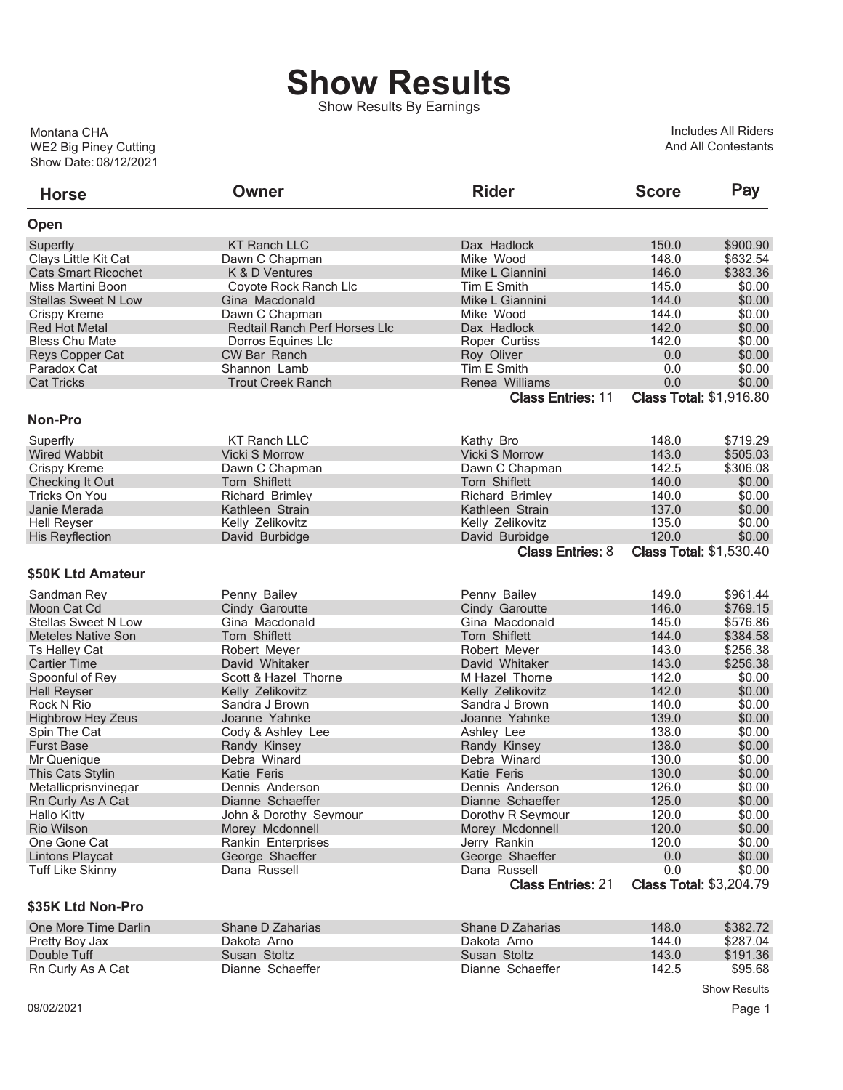## **Show Results**

Show Results By Earnings

Show Date: 08/12/2021 WE2 Big Piney Cutting Montana CHA

Includes All Riders And All Contestants

| <b>Horse</b>               | Owner                                | <b>Rider</b>             | <b>Score</b>                   | Pay      |
|----------------------------|--------------------------------------|--------------------------|--------------------------------|----------|
| Open                       |                                      |                          |                                |          |
| Superfly                   | <b>KT Ranch LLC</b>                  | Dax Hadlock              | 150.0                          | \$900.90 |
| Clays Little Kit Cat       | Dawn C Chapman                       | Mike Wood                | 148.0                          | \$632.54 |
| <b>Cats Smart Ricochet</b> | K & D Ventures                       | Mike L Giannini          | 146.0                          | \$383.36 |
| Miss Martini Boon          | Coyote Rock Ranch Llc                | Tim E Smith              | 145.0                          | \$0.00   |
| <b>Stellas Sweet N Low</b> | Gina Macdonald                       | Mike L Giannini          | 144.0                          | \$0.00   |
| Crispy Kreme               | Dawn C Chapman                       | Mike Wood                | 144.0                          | \$0.00   |
| <b>Red Hot Metal</b>       | <b>Redtail Ranch Perf Horses Llc</b> | Dax Hadlock              | 142.0                          | \$0.00   |
| <b>Bless Chu Mate</b>      | <b>Dorros Equines LIc</b>            | Roper Curtiss            | 142.0                          | \$0.00   |
| Reys Copper Cat            | <b>CW Bar Ranch</b>                  | Roy Oliver               | 0.0                            | \$0.00   |
| Paradox Cat                | Shannon Lamb                         | Tim E Smith              | 0.0                            | \$0.00   |
| <b>Cat Tricks</b>          | <b>Trout Creek Ranch</b>             | Renea Williams           | 0.0                            | \$0.00   |
|                            |                                      | <b>Class Entries: 11</b> | <b>Class Total: \$1,916.80</b> |          |
| Non-Pro                    |                                      |                          |                                |          |
| Superfly                   | <b>KT Ranch LLC</b>                  | Kathy Bro                | 148.0                          | \$719.29 |
| <b>Wired Wabbit</b>        | <b>Vicki S Morrow</b>                | Vicki S Morrow           | 143.0                          | \$505.03 |
| Crispy Kreme               | Dawn C Chapman                       | Dawn C Chapman           | 142.5                          | \$306.08 |
| Checking It Out            | Tom Shiflett                         | Tom Shiflett             | 140.0                          | \$0.00   |
| Tricks On You              | <b>Richard Brimley</b>               | <b>Richard Brimlev</b>   | 140.0                          | \$0.00   |
| Janie Merada               | Kathleen Strain                      | Kathleen Strain          | 137.0                          | \$0.00   |
| <b>Hell Reyser</b>         | Kelly Zelikovitz                     | Kelly Zelikovitz         | 135.0                          | \$0.00   |
| <b>His Reyflection</b>     | David Burbidge                       | David Burbidge           | 120.0                          | \$0.00   |
|                            |                                      | <b>Class Entries: 8</b>  | <b>Class Total: \$1,530.40</b> |          |
| \$50K Ltd Amateur          |                                      |                          |                                |          |
| Sandman Rev                | Penny Bailey                         | Penny Bailey             | 149.0                          | \$961.44 |
| Moon Cat Cd                | Cindy Garoutte                       | Cindy Garoutte           | 146.0                          | \$769.15 |
| <b>Stellas Sweet N Low</b> | Gina Macdonald                       | Gina Macdonald           | 145.0                          | \$576.86 |
| <b>Meteles Native Son</b>  | Tom Shiflett                         | Tom Shiflett             | 144.0                          | \$384.58 |
| Ts Halley Cat              | Robert Meyer                         | Robert Meyer             | 143.0                          | \$256.38 |
| <b>Cartier Time</b>        | David Whitaker                       | David Whitaker           | 143.0                          | \$256.38 |
| Spoonful of Rey            | Scott & Hazel Thorne                 | M Hazel Thorne           | 142.0                          | \$0.00   |
| <b>Hell Reyser</b>         | Kelly Zelikovitz                     | Kelly Zelikovitz         | 142.0                          | \$0.00   |
| Rock N Rio                 | Sandra J Brown                       | Sandra J Brown           | 140.0                          | \$0.00   |
| <b>Highbrow Hey Zeus</b>   | Joanne Yahnke                        | Joanne Yahnke            | 139.0                          | \$0.00   |
| Spin The Cat               | Cody & Ashley Lee                    | Ashley Lee               | 138.0                          | \$0.00   |
| <b>Furst Base</b>          | Randy Kinsey                         | Randy Kinsey             | 138.0                          | \$0.00   |
| Mr Quenique                | Debra Winard                         | Debra Winard             | 130.0                          | \$0.00   |
| <b>This Cats Stylin</b>    | Katie Feris                          | Katie Feris              | 130.0                          | \$0.00   |
| Metallicprisnvinegar       | Dennis Anderson                      | Dennis Anderson          | 126.0                          | \$0.00   |
| Rn Curly As A Cat          | Dianne Schaeffer                     | Dianne Schaeffer         | 125.0                          | \$0.00   |
| <b>Hallo Kitty</b>         | John & Dorothy Seymour               | Dorothy R Seymour        | 120.0                          | \$0.00   |
| <b>Rio Wilson</b>          | Morey Mcdonnell                      | Morey Mcdonnell          | 120.0                          | \$0.00   |
| One Gone Cat               | Rankin Enterprises                   | Jerry Rankin             | 120.0                          | \$0.00   |
| <b>Lintons Playcat</b>     | George Shaeffer                      | George Shaeffer          | 0.0                            | \$0.00   |
| <b>Tuff Like Skinny</b>    | Dana Russell                         | Dana Russell             | 0.0                            | \$0.00   |
|                            |                                      | <b>Class Entries: 21</b> | <b>Class Total: \$3,204.79</b> |          |
| \$35K Ltd Non-Pro          |                                      |                          |                                |          |

| One More Time Darlin | Shane D Zaharias | Shane D Zaharias | 148.0 | \$382.72 |
|----------------------|------------------|------------------|-------|----------|
| Pretty Boy Jax       | Dakota Arno      | Dakota Arno      | 144.0 | \$287.04 |
| Double Tuff          | Susan Stoltz     | Susan Stoltz     | 143.0 | \$191.36 |
| Rn Curly As A Cat    | Dianne Schaeffer | Dianne Schaeffer | 142.5 | \$95.68  |

Show Results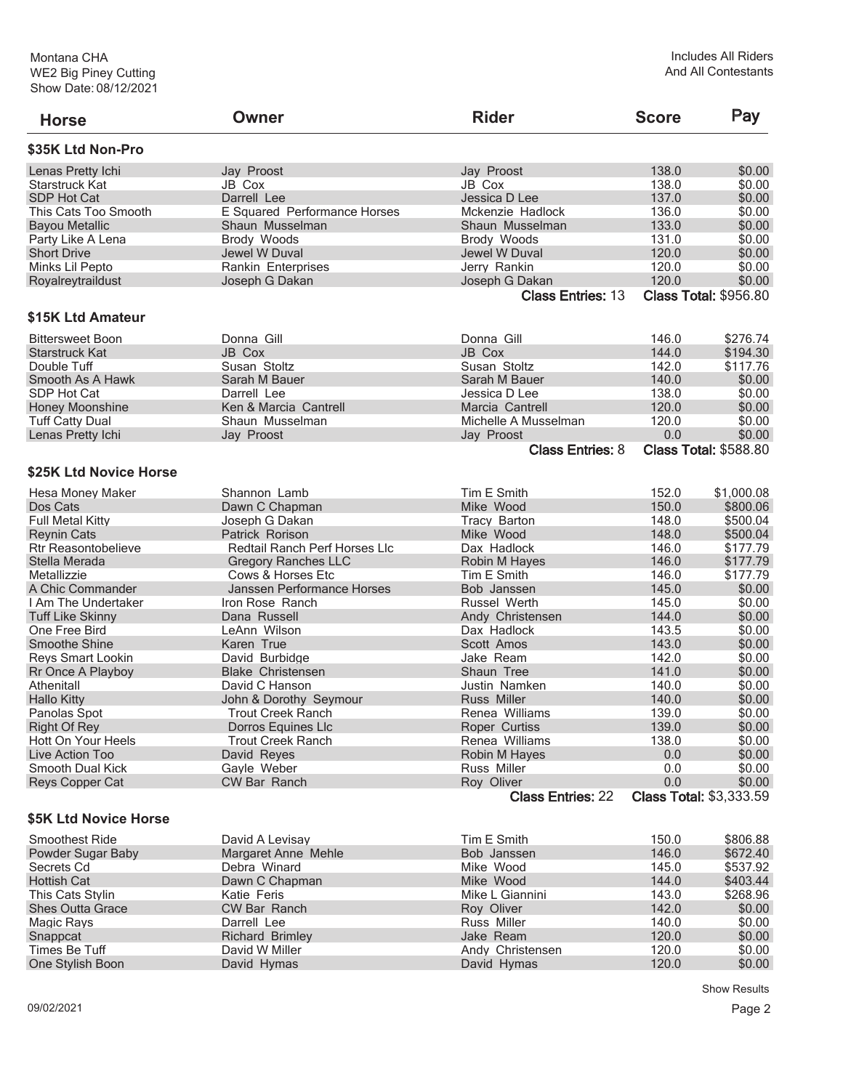| <b>Horse</b>               | Owner                         | <b>Rider</b>                           | <b>Score</b> | Pay                                      |
|----------------------------|-------------------------------|----------------------------------------|--------------|------------------------------------------|
| \$35K Ltd Non-Pro          |                               |                                        |              |                                          |
| Lenas Pretty Ichi          | Jay Proost                    | Jay Proost                             | 138.0        | \$0.00                                   |
| Starstruck Kat             | JB Cox                        | JB Cox                                 | 138.0        | \$0.00                                   |
| SDP Hot Cat                | Darrell Lee                   | Jessica D Lee                          | 137.0        | \$0.00                                   |
| This Cats Too Smooth       | E Squared Performance Horses  | Mckenzie Hadlock                       | 136.0        | \$0.00                                   |
| <b>Bayou Metallic</b>      | Shaun Musselman               | Shaun Musselman                        | 133.0        | \$0.00                                   |
| Party Like A Lena          | Brody Woods                   | Brody Woods                            | 131.0        | \$0.00                                   |
| <b>Short Drive</b>         | Jewel W Duval                 | Jewel W Duval                          | 120.0        | \$0.00                                   |
| Minks Lil Pepto            | <b>Rankin Enterprises</b>     | Jerry Rankin                           | 120.0        | \$0.00                                   |
| Royalreytraildust          | Joseph G Dakan                |                                        | 120.0        | \$0.00                                   |
|                            |                               | Joseph G Dakan                         |              |                                          |
| \$15K Ltd Amateur          |                               | <b>Class Entries: 13</b>               |              | <b>Class Total: \$956.80</b>             |
|                            |                               |                                        |              |                                          |
| <b>Bittersweet Boon</b>    | Donna Gill                    | Donna Gill                             | 146.0        | \$276.74                                 |
| Starstruck Kat             | JB Cox                        | <b>JB Cox</b>                          | 144.0        | \$194.30                                 |
| Double Tuff                | Susan Stoltz                  | Susan Stoltz                           | 142.0        | \$117.76                                 |
| Smooth As A Hawk           | Sarah M Bauer                 | Sarah M Bauer                          | 140.0        | \$0.00                                   |
| SDP Hot Cat                | Darrell Lee                   | Jessica D Lee                          | 138.0        | \$0.00                                   |
| Honey Moonshine            | Ken & Marcia Cantrell         | Marcia Cantrell                        | 120.0        | \$0.00                                   |
| <b>Tuff Catty Dual</b>     | Shaun Musselman               | Michelle A Musselman                   | 120.0        | \$0.00                                   |
| Lenas Pretty Ichi          | Jay Proost                    | Jay Proost                             | 0.0          | \$0.00                                   |
|                            |                               | <b>Class Entries: 8</b>                |              | <b>Class Total: \$588.80</b>             |
| \$25K Ltd Novice Horse     |                               |                                        |              |                                          |
| Hesa Money Maker           | Shannon Lamb                  | Tim E Smith                            | 152.0        | \$1,000.08                               |
| Dos Cats                   | Dawn C Chapman                | Mike Wood                              | 150.0        | \$800.06                                 |
| <b>Full Metal Kitty</b>    | Joseph G Dakan                | <b>Tracy Barton</b>                    | 148.0        | \$500.04                                 |
| <b>Reynin Cats</b>         | Patrick Rorison               | Mike Wood                              | 148.0        | \$500.04                                 |
| <b>Rtr Reasontobelieve</b> | Redtail Ranch Perf Horses Llc | Dax Hadlock                            | 146.0        | \$177.79                                 |
| Stella Merada              | <b>Gregory Ranches LLC</b>    | Robin M Hayes                          | 146.0        | \$177.79                                 |
| Metallizzie                | Cows & Horses Etc             | Tim E Smith                            | 146.0        | \$177.79                                 |
| A Chic Commander           | Janssen Performance Horses    | Bob Janssen                            | 145.0        | \$0.00                                   |
| I Am The Undertaker        | Iron Rose Ranch               | Russel Werth                           | 145.0        | \$0.00                                   |
| <b>Tuff Like Skinny</b>    | Dana Russell                  | Andy Christensen                       | 144.0        | \$0.00                                   |
| One Free Bird              | LeAnn Wilson                  | Dax Hadlock                            | 143.5        | \$0.00                                   |
| Smoothe Shine              | Karen True                    | Scott Amos                             | 143.0        | \$0.00                                   |
| Reys Smart Lookin          | David Burbidge                | Jake Ream                              | 142.0        | \$0.00                                   |
| Rr Once A Playboy          | <b>Blake Christensen</b>      | Shaun Tree                             | 141.0        | \$0.00                                   |
| Athenitall                 | David C Hanson                | Justin Namken                          | 140.0        | \$0.00                                   |
| <b>Hallo Kitty</b>         |                               | <b>Russ Miller</b>                     | 140.0        | \$0.00                                   |
|                            | John & Dorothy Seymour        | Renea Williams                         | 139.0        |                                          |
| Panolas Spot               | <b>Trout Creek Ranch</b>      |                                        |              | \$0.00                                   |
| <b>Right Of Rey</b>        | Dorros Equines Llc            | Roper Curtiss                          | 139.0        | \$0.00                                   |
| Hott On Your Heels         | <b>Trout Creek Ranch</b>      | Renea Williams                         | 138.0        | \$0.00                                   |
| Live Action Too            | David Reyes                   | Robin M Hayes                          | $0.0\,$      | \$0.00                                   |
| Smooth Dual Kick           | Gayle Weber                   | Russ Miller                            | 0.0          | \$0.00                                   |
| Reys Copper Cat            | <b>CW Bar Ranch</b>           | Roy Oliver<br><b>Class Entries: 22</b> | 0.0          | \$0.00<br><b>Class Total: \$3,333.59</b> |
| \$5K Ltd Novice Horse      |                               |                                        |              |                                          |
| <b>Smoothest Ride</b>      |                               | Tim E Smith                            | 150.0        | \$806.88                                 |
|                            | David A Levisay               |                                        |              |                                          |
| Powder Sugar Baby          | Margaret Anne Mehle           | Bob Janssen                            | 146.0        | \$672.40                                 |
| Secrets Cd                 | Debra Winard                  | Mike Wood                              | 145.0        | \$537.92                                 |
| <b>Hottish Cat</b>         | Dawn C Chapman                | Mike Wood                              | 144.0        | \$403.44                                 |
| This Cats Stylin           | Katie Feris                   | Mike L Giannini                        | 143.0        | \$268.96                                 |
| <b>Shes Outta Grace</b>    | CW Bar Ranch                  | Roy Oliver                             | 142.0        | \$0.00                                   |
| Magic Rays                 | Darrell Lee                   | Russ Miller                            | 140.0        | \$0.00                                   |
| Snappcat                   | <b>Richard Brimley</b>        | Jake Ream                              | 120.0        | \$0.00                                   |
| Times Be Tuff              | David W Miller                | Andy Christensen                       | 120.0        | \$0.00                                   |

One Stylish Boon David Hymas David Hymas 120.0 \$0.00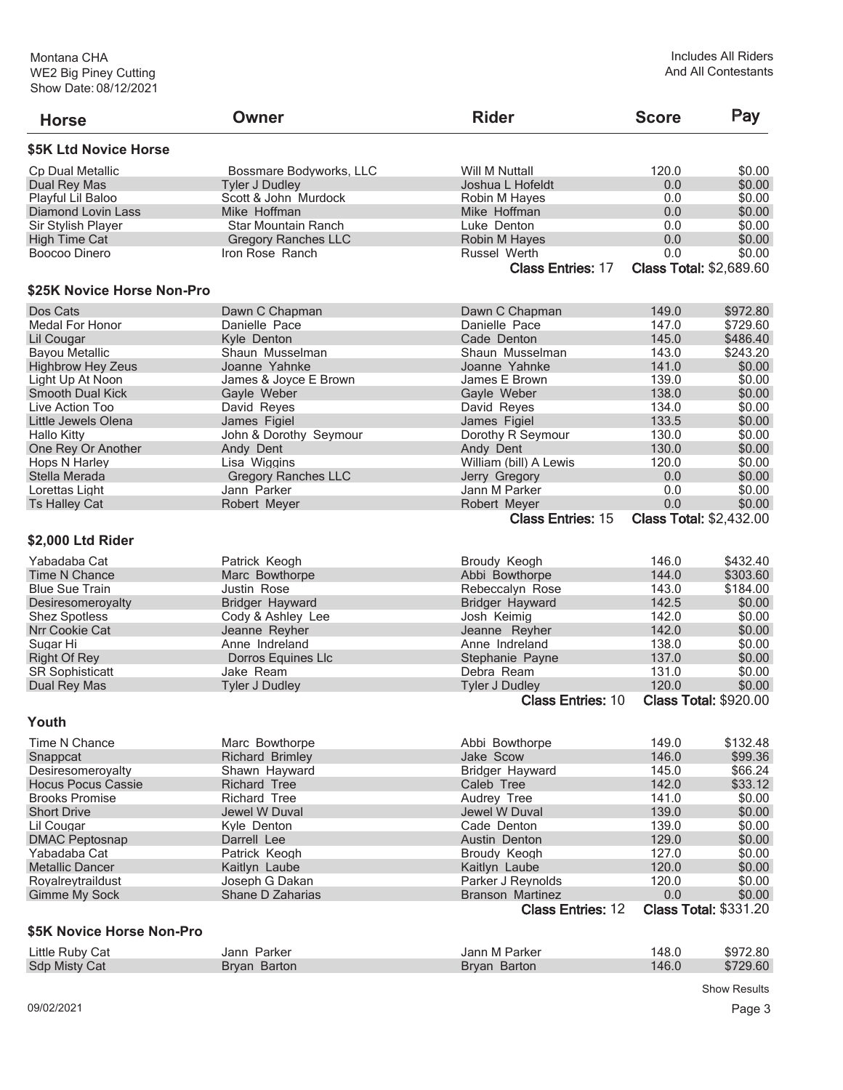| <b>Horse</b>               | Owner                      | <b>Rider</b>             | <b>Score</b> | Pay                            |
|----------------------------|----------------------------|--------------------------|--------------|--------------------------------|
| \$5K Ltd Novice Horse      |                            |                          |              |                                |
| Cp Dual Metallic           | Bossmare Bodyworks, LLC    | Will M Nuttall           | 120.0        | \$0.00                         |
| Dual Rey Mas               | <b>Tyler J Dudley</b>      | Joshua L Hofeldt         | 0.0          | \$0.00                         |
| Playful Lil Baloo          | Scott & John Murdock       | Robin M Hayes            | 0.0          | \$0.00                         |
| Diamond Lovin Lass         | Mike Hoffman               | Mike Hoffman             | 0.0          | \$0.00                         |
| Sir Stylish Player         | Star Mountain Ranch        | Luke Denton              | 0.0          | \$0.00                         |
| <b>High Time Cat</b>       | <b>Gregory Ranches LLC</b> | Robin M Hayes            | 0.0          | \$0.00                         |
| Boocoo Dinero              | Iron Rose Ranch            | Russel Werth             | 0.0          | \$0.00                         |
|                            |                            | <b>Class Entries: 17</b> |              | <b>Class Total: \$2,689.60</b> |
| \$25K Novice Horse Non-Pro |                            |                          |              |                                |
| Dos Cats                   | Dawn C Chapman             | Dawn C Chapman           | 149.0        | \$972.80                       |
| Medal For Honor            | Danielle Pace              | Danielle Pace            | 147.0        | \$729.60                       |
| Lil Cougar                 | Kyle Denton                | Cade Denton              | 145.0        | \$486.40                       |
| <b>Bayou Metallic</b>      | Shaun Musselman            | Shaun Musselman          | 143.0        | \$243.20                       |
| <b>Highbrow Hey Zeus</b>   | Joanne Yahnke              | Joanne Yahnke            | 141.0        | \$0.00                         |
| Light Up At Noon           | James & Joyce E Brown      | James E Brown            | 139.0        | \$0.00                         |
| <b>Smooth Dual Kick</b>    | Gayle Weber                | Gayle Weber              | 138.0        | \$0.00                         |
| Live Action Too            | David Reyes                | David Reyes              | 134.0        | \$0.00                         |
| Little Jewels Olena        | James Figiel               | James Figiel             | 133.5        | \$0.00                         |
| <b>Hallo Kitty</b>         | John & Dorothy Seymour     | Dorothy R Seymour        | 130.0        | \$0.00                         |
| One Rey Or Another         | Andy Dent                  | Andy Dent                | 130.0        | \$0.00                         |
| Hops N Harley              | Lisa Wiggins               | William (bill) A Lewis   | 120.0        | \$0.00                         |
| Stella Merada              | <b>Gregory Ranches LLC</b> | Jerry Gregory            | 0.0          | \$0.00                         |
| Lorettas Light             | Jann Parker                | Jann M Parker            | 0.0          | \$0.00                         |
| <b>Ts Halley Cat</b>       | Robert Meyer               | Robert Meyer             | 0.0          | \$0.00                         |
|                            |                            | <b>Class Entries: 15</b> |              | <b>Class Total: \$2,432.00</b> |
| \$2,000 Ltd Rider          |                            |                          |              |                                |
| Yabadaba Cat               | Patrick Keogh              | Broudy Keogh             | 146.0        | \$432.40                       |
| <b>Time N Chance</b>       | Marc Bowthorpe             | Abbi Bowthorpe           | 144.0        | \$303.60                       |
| <b>Blue Sue Train</b>      | Justin Rose                | Rebeccalyn Rose          | 143.0        | \$184.00                       |
| Desiresomeroyalty          | <b>Bridger Hayward</b>     | <b>Bridger Hayward</b>   | 142.5        | \$0.00                         |
| <b>Shez Spotless</b>       | Cody & Ashley Lee          | Josh Keimig              | 142.0        | \$0.00                         |
| Nrr Cookie Cat             | Jeanne Reyher              | Jeanne Reyher            | 142.0        | \$0.00                         |
| Sugar Hi                   | Anne Indreland             | Anne Indreland           | 138.0        | \$0.00                         |
| <b>Right Of Rey</b>        | Dorros Equines Llc         | Stephanie Payne          | 137.0        | \$0.00                         |
| <b>SR Sophisticatt</b>     | Jake Ream                  | Debra Ream               | 131.0        | \$0.00                         |
| Dual Rey Mas               | <b>Tyler J Dudley</b>      | <b>Tyler J Dudley</b>    | 120.0        | \$0.00                         |
|                            |                            | <b>Class Entries: 10</b> |              | <b>Class Total: \$920.00</b>   |
| Youth                      |                            |                          |              |                                |
| Time N Chance              | Marc Bowthorpe             | Abbi Bowthorpe           | 149.0        | \$132.48                       |
| Snappcat                   | <b>Richard Brimley</b>     | Jake Scow                | 146.0        | \$99.36                        |
| Desiresomeroyalty          | Shawn Hayward              | Bridger Hayward          | 145.0        | \$66.24                        |
| <b>Hocus Pocus Cassie</b>  | <b>Richard Tree</b>        | Caleb Tree               | 142.0        | \$33.12                        |
| <b>Brooks Promise</b>      | <b>Richard Tree</b>        | Audrey Tree              | 141.0        | \$0.00                         |
| <b>Short Drive</b>         | Jewel W Duval              | Jewel W Duval            | 139.0        | \$0.00                         |
| Lil Cougar                 | Kyle Denton                | Cade Denton              | 139.0        | \$0.00                         |
| <b>DMAC Peptosnap</b>      | Darrell Lee                | Austin Denton            | 129.0        | \$0.00                         |
| Yabadaba Cat               | Patrick Keogh              | Broudy Keogh             | 127.0        | \$0.00                         |
| Metallic Dancer            | Kaitlyn Laube              | Kaitlyn Laube            | 120.0        | \$0.00                         |
| Royalreytraildust          | Joseph G Dakan             | Parker J Reynolds        | 120.0        | \$0.00                         |
| <b>Gimme My Sock</b>       | Shane D Zaharias           | <b>Branson Martinez</b>  | 0.0          | \$0.00                         |
|                            |                            | <b>Class Entries: 12</b> |              | <b>Class Total: \$331.20</b>   |
|                            |                            |                          |              |                                |
| \$5K Novice Horse Non-Pro  |                            |                          |              |                                |
| Little Ruby Cat            | Jann Parker                | Jann M Parker            | 148.0        | \$972.80                       |
| Sdp Misty Cat              | Bryan Barton               | Bryan Barton             | 146.0        | \$729.60                       |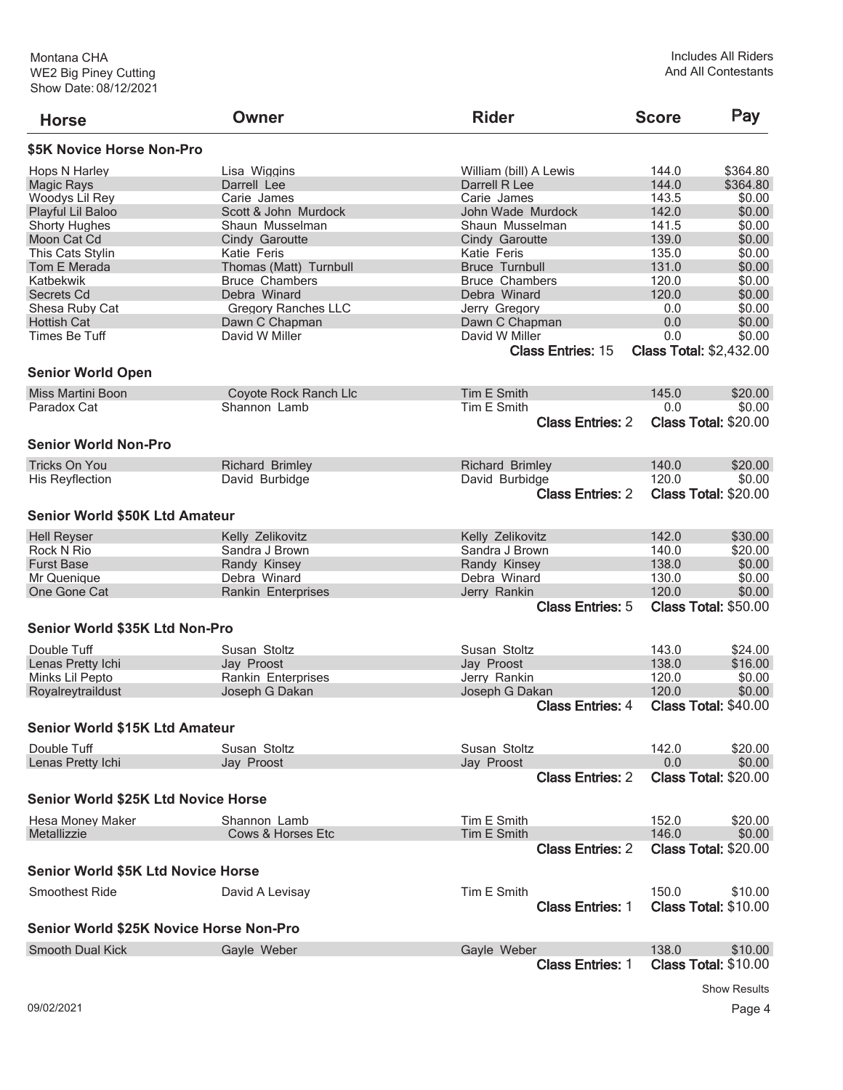| <b>Horse</b>                               | Owner                      | <b>Rider</b>                               | <b>Score</b>                          | Pay                         |
|--------------------------------------------|----------------------------|--------------------------------------------|---------------------------------------|-----------------------------|
| \$5K Novice Horse Non-Pro                  |                            |                                            |                                       |                             |
| Hops N Harley                              | Lisa Wiggins               | William (bill) A Lewis                     | 144.0                                 | \$364.80                    |
| Magic Rays                                 | Darrell Lee                | Darrell R Lee                              | 144.0                                 | \$364.80                    |
| Woodys Lil Rey                             | Carie James                | Carie James                                | 143.5                                 | \$0.00                      |
| Playful Lil Baloo                          | Scott & John Murdock       | John Wade Murdock                          | 142.0                                 | \$0.00                      |
| <b>Shorty Hughes</b>                       | Shaun Musselman            | Shaun Musselman                            | 141.5                                 | \$0.00                      |
| Moon Cat Cd                                | Cindy Garoutte             | Cindy Garoutte                             | 139.0                                 | \$0.00                      |
| <b>This Cats Stylin</b>                    | Katie Feris                | Katie Feris                                | 135.0                                 | \$0.00                      |
| Tom E Merada                               |                            | <b>Bruce Turnbull</b>                      | 131.0                                 | \$0.00                      |
|                                            | Thomas (Matt) Turnbull     | <b>Bruce Chambers</b>                      | 120.0                                 |                             |
| Katbekwik                                  | <b>Bruce Chambers</b>      |                                            |                                       | \$0.00                      |
| Secrets Cd                                 | Debra Winard               | Debra Winard                               | 120.0                                 | \$0.00                      |
| Shesa Ruby Cat                             | <b>Gregory Ranches LLC</b> | Jerry Gregory                              | 0.0                                   | \$0.00                      |
| <b>Hottish Cat</b>                         | Dawn C Chapman             | Dawn C Chapman                             | 0.0                                   | \$0.00                      |
| <b>Times Be Tuff</b>                       | David W Miller             | David W Miller<br><b>Class Entries: 15</b> | 0.0<br><b>Class Total: \$2,432.00</b> | \$0.00                      |
| <b>Senior World Open</b>                   |                            |                                            |                                       |                             |
| Miss Martini Boon                          | Coyote Rock Ranch Llc      | Tim E Smith                                | 145.0                                 | \$20.00                     |
| Paradox Cat                                | Shannon Lamb               | Tim E Smith                                | 0.0                                   | \$0.00                      |
|                                            |                            | <b>Class Entries: 2</b>                    |                                       | Class Total: \$20.00        |
| <b>Senior World Non-Pro</b>                |                            |                                            |                                       |                             |
| <b>Tricks On You</b>                       | <b>Richard Brimley</b>     | <b>Richard Brimley</b>                     | 140.0                                 | \$20.00                     |
| <b>His Reyflection</b>                     | David Burbidge             | David Burbidge                             | 120.0                                 | \$0.00                      |
|                                            |                            | <b>Class Entries: 2</b>                    |                                       | <b>Class Total: \$20.00</b> |
| <b>Senior World \$50K Ltd Amateur</b>      |                            |                                            |                                       |                             |
| <b>Hell Reyser</b>                         | Kelly Zelikovitz           | Kelly Zelikovitz                           | 142.0                                 | \$30.00                     |
| Rock N Rio                                 | Sandra J Brown             | Sandra J Brown                             | 140.0                                 | \$20.00                     |
| <b>Furst Base</b>                          | Randy Kinsey               | Randy Kinsey                               | 138.0                                 | \$0.00                      |
| Mr Quenique                                | Debra Winard               | Debra Winard                               | 130.0                                 | \$0.00                      |
| One Gone Cat                               | Rankin Enterprises         | Jerry Rankin                               | 120.0                                 | \$0.00                      |
|                                            |                            | <b>Class Entries: 5</b>                    |                                       | <b>Class Total: \$50.00</b> |
| Senior World \$35K Ltd Non-Pro             |                            |                                            |                                       |                             |
| Double Tuff                                | Susan Stoltz               | Susan Stoltz                               | 143.0                                 | \$24.00                     |
| Lenas Pretty Ichi                          | Jay Proost                 | Jay Proost                                 | 138.0                                 | \$16.00                     |
| Minks Lil Pepto                            | Rankin Enterprises         | Jerry Rankin                               | 120.0                                 | \$0.00                      |
| Royalreytraildust                          | Joseph G Dakan             | Joseph G Dakan                             | 120.0                                 | \$0.00                      |
|                                            |                            | <b>Class Entries: 4</b>                    |                                       | <b>Class Total: \$40.00</b> |
| <b>Senior World \$15K Ltd Amateur</b>      |                            |                                            |                                       |                             |
|                                            |                            |                                            |                                       |                             |
| Double Tuff                                | Susan Stoltz               | Susan Stoltz                               | 142.0                                 | \$20.00                     |
| Lenas Pretty Ichi                          | Jay Proost                 | Jay Proost                                 | 0.0                                   | \$0.00                      |
|                                            |                            | <b>Class Entries: 2</b>                    |                                       | Class Total: \$20.00        |
| <b>Senior World \$25K Ltd Novice Horse</b> |                            |                                            |                                       |                             |
| Hesa Money Maker                           | Shannon Lamb               | Tim E Smith                                | 152.0                                 | \$20.00                     |
| Metallizzie                                | Cows & Horses Etc          | Tim E Smith                                | 146.0                                 | \$0.00                      |
|                                            |                            | <b>Class Entries: 2</b>                    |                                       | <b>Class Total: \$20.00</b> |
| <b>Senior World \$5K Ltd Novice Horse</b>  |                            |                                            |                                       |                             |
| <b>Smoothest Ride</b>                      | David A Levisay            | Tim E Smith                                | 150.0                                 | \$10.00                     |
|                                            |                            | <b>Class Entries: 1</b>                    |                                       | <b>Class Total: \$10.00</b> |
| Senior World \$25K Novice Horse Non-Pro    |                            |                                            |                                       |                             |
| <b>Smooth Dual Kick</b>                    | Gayle Weber                | Gayle Weber                                | 138.0                                 | \$10.00                     |
|                                            |                            | <b>Class Entries: 1</b>                    |                                       | <b>Class Total: \$10.00</b> |
|                                            |                            |                                            |                                       |                             |